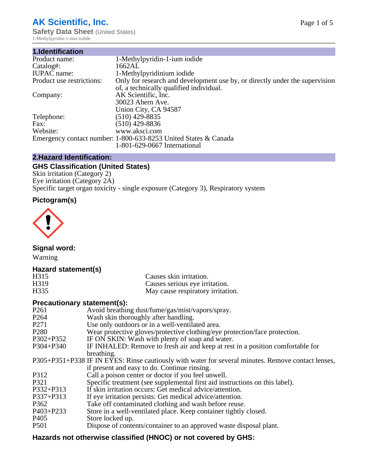# **AK Scientific, Inc.**

**Safety Data Sheet (United States)** 1-Methylpyridin-1-ium iodide

| 1.Identification          |                                                                             |
|---------------------------|-----------------------------------------------------------------------------|
| Product name:             | 1-Methylpyridin-1-ium iodide                                                |
| Catalog#:                 | 1662AL                                                                      |
| <b>IUPAC</b> name:        | 1-Methylpyridinium iodide                                                   |
| Product use restrictions: | Only for research and development use by, or directly under the supervision |
|                           | of, a technically qualified individual.                                     |
| Company:                  | AK Scientific, Inc.                                                         |
|                           | 30023 Ahern Ave.                                                            |
|                           | Union City, CA 94587                                                        |
| Telephone:                | $(510)$ 429-8835                                                            |
| Fax:                      | (510) 429-8836                                                              |
| Website:                  | www.aksci.com                                                               |
|                           | Emergency contact number: 1-800-633-8253 United States & Canada             |
|                           | 1-801-629-0667 International                                                |

# **2.Hazard Identification:**

# **GHS Classification (United States)**

Skin irritation (Category 2) Eye irritation (Category 2A) Specific target organ toxicity - single exposure (Category 3), Respiratory system

# **Pictogram(s)**



**Signal word:**

Warning

# **Hazard statement(s)**

| H <sub>315</sub>  | Causes skin irritation.           |
|-------------------|-----------------------------------|
| H <sub>3</sub> 19 | Causes serious eye irritation.    |
| H335              | May cause respiratory irritation. |

# **Precautionary statement(s):**

| P <sub>261</sub> | Avoid breathing dust/fume/gas/mist/vapors/spray.                                                   |
|------------------|----------------------------------------------------------------------------------------------------|
| P <sub>264</sub> | Wash skin thoroughly after handling.                                                               |
| P <sub>271</sub> | Use only outdoors or in a well-ventilated area.                                                    |
| P <sub>280</sub> | Wear protective gloves/protective clothing/eye protection/face protection.                         |
| P302+P352        | IF ON SKIN: Wash with plenty of soap and water.                                                    |
| $P304 + P340$    | IF INHALED: Remove to fresh air and keep at rest in a position comfortable for                     |
|                  | breathing.                                                                                         |
|                  | P305+P351+P338 IF IN EYES: Rinse cautiously with water for several minutes. Remove contact lenses, |
|                  | if present and easy to do. Continue rinsing.                                                       |
| P312             | Call a poison center or doctor if you feel unwell.                                                 |
| P321             | Specific treatment (see supplemental first aid instructions on this label).                        |
| P332+P313        | If skin irritation occurs: Get medical advice/attention.                                           |
| P337+P313        | If eye irritation persists: Get medical advice/attention.                                          |
| P362             | Take off contaminated clothing and wash before reuse.                                              |
| $P403 + P233$    | Store in a well-ventilated place. Keep container tightly closed.                                   |
| P <sub>405</sub> | Store locked up.                                                                                   |
| P <sub>501</sub> | Dispose of contents/container to an approved waste disposal plant.                                 |
|                  |                                                                                                    |

# **Hazards not otherwise classified (HNOC) or not covered by GHS:**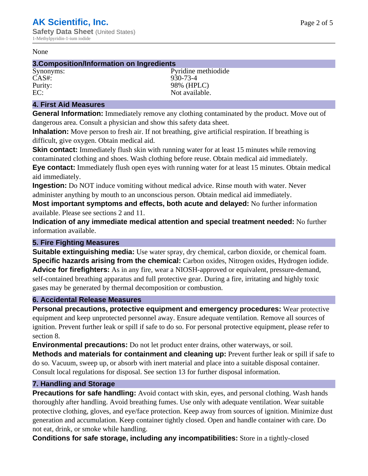#### None

## **3.Composition/Information on Ingredients**

CAS#: 930-73-4

Synonyms: Pyridine methiodide Purity: 98% (HPLC)<br>EC: Not available. Not available.

## **4. First Aid Measures**

**General Information:** Immediately remove any clothing contaminated by the product. Move out of dangerous area. Consult a physician and show this safety data sheet.

**Inhalation:** Move person to fresh air. If not breathing, give artificial respiration. If breathing is difficult, give oxygen. Obtain medical aid.

**Skin contact:** Immediately flush skin with running water for at least 15 minutes while removing contaminated clothing and shoes. Wash clothing before reuse. Obtain medical aid immediately. **Eye contact:** Immediately flush open eyes with running water for at least 15 minutes. Obtain medical aid immediately.

**Ingestion:** Do NOT induce vomiting without medical advice. Rinse mouth with water. Never administer anything by mouth to an unconscious person. Obtain medical aid immediately.

**Most important symptoms and effects, both acute and delayed:** No further information available. Please see sections 2 and 11.

**Indication of any immediate medical attention and special treatment needed:** No further information available.

## **5. Fire Fighting Measures**

**Suitable extinguishing media:** Use water spray, dry chemical, carbon dioxide, or chemical foam. **Specific hazards arising from the chemical:** Carbon oxides, Nitrogen oxides, Hydrogen iodide. **Advice for firefighters:** As in any fire, wear a NIOSH-approved or equivalent, pressure-demand, self-contained breathing apparatus and full protective gear. During a fire, irritating and highly toxic gases may be generated by thermal decomposition or combustion.

## **6. Accidental Release Measures**

**Personal precautions, protective equipment and emergency procedures:** Wear protective equipment and keep unprotected personnel away. Ensure adequate ventilation. Remove all sources of ignition. Prevent further leak or spill if safe to do so. For personal protective equipment, please refer to section 8.

**Environmental precautions:** Do not let product enter drains, other waterways, or soil.

**Methods and materials for containment and cleaning up:** Prevent further leak or spill if safe to do so. Vacuum, sweep up, or absorb with inert material and place into a suitable disposal container. Consult local regulations for disposal. See section 13 for further disposal information.

## **7. Handling and Storage**

**Precautions for safe handling:** Avoid contact with skin, eyes, and personal clothing. Wash hands thoroughly after handling. Avoid breathing fumes. Use only with adequate ventilation. Wear suitable protective clothing, gloves, and eye/face protection. Keep away from sources of ignition. Minimize dust generation and accumulation. Keep container tightly closed. Open and handle container with care. Do not eat, drink, or smoke while handling.

**Conditions for safe storage, including any incompatibilities:** Store in a tightly-closed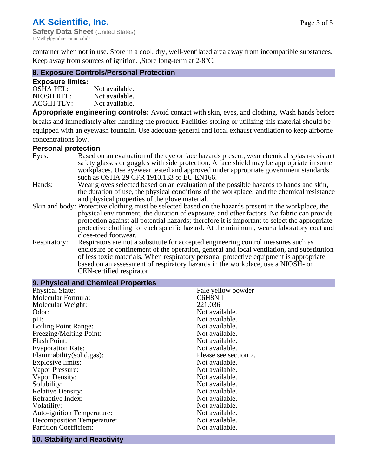container when not in use. Store in a cool, dry, well-ventilated area away from incompatible substances. Keep away from sources of ignition. ,Store long-term at 2-8°C.

## **8. Exposure Controls/Personal Protection**

#### **Exposure limits:**

| <b>OSHA PEL:</b>  | Not available. |
|-------------------|----------------|
| NIOSH REL:        | Not available. |
| <b>ACGIH TLV:</b> | Not available. |

**Appropriate engineering controls:** Avoid contact with skin, eyes, and clothing. Wash hands before breaks and immediately after handling the product. Facilities storing or utilizing this material should be equipped with an eyewash fountain. Use adequate general and local exhaust ventilation to keep airborne concentrations low.

#### **Personal protection**

| Eyes:        | Based on an evaluation of the eye or face hazards present, wear chemical splash-resistant<br>safety glasses or goggles with side protection. A face shield may be appropriate in some |  |  |
|--------------|---------------------------------------------------------------------------------------------------------------------------------------------------------------------------------------|--|--|
|              | workplaces. Use eyewear tested and approved under appropriate government standards<br>such as OSHA 29 CFR 1910.133 or EU EN166.                                                       |  |  |
| Hands:       | Wear gloves selected based on an evaluation of the possible hazards to hands and skin,                                                                                                |  |  |
|              | the duration of use, the physical conditions of the workplace, and the chemical resistance                                                                                            |  |  |
|              | and physical properties of the glove material.                                                                                                                                        |  |  |
|              | Skin and body: Protective clothing must be selected based on the hazards present in the workplace, the                                                                                |  |  |
|              | physical environment, the duration of exposure, and other factors. No fabric can provide                                                                                              |  |  |
|              | protection against all potential hazards; therefore it is important to select the appropriate                                                                                         |  |  |
|              | protective clothing for each specific hazard. At the minimum, wear a laboratory coat and                                                                                              |  |  |
|              | close-toed footwear.                                                                                                                                                                  |  |  |
| Respiratory: | Respirators are not a substitute for accepted engineering control measures such as<br>enclosure or confinement of the operation, general and local ventilation, and substitution      |  |  |
|              | of less toxic materials. When respiratory personal protective equipment is appropriate                                                                                                |  |  |
|              | based on an assessment of respiratory hazards in the workplace, use a NIOSH- or                                                                                                       |  |  |
|              | CEN-certified respirator.                                                                                                                                                             |  |  |

| 9. Physical and Chemical Properties |                       |
|-------------------------------------|-----------------------|
| <b>Physical State:</b>              | Pale yellow powder    |
| Molecular Formula:                  | C6H8N.I               |
| Molecular Weight:                   | 221.036               |
| Odor:                               | Not available.        |
| pH:                                 | Not available.        |
| <b>Boiling Point Range:</b>         | Not available.        |
| Freezing/Melting Point:             | Not available.        |
| <b>Flash Point:</b>                 | Not available.        |
| <b>Evaporation Rate:</b>            | Not available.        |
| Flammability (solid, gas):          | Please see section 2. |
| Explosive limits:                   | Not available.        |
| Vapor Pressure:                     | Not available.        |
| Vapor Density:                      | Not available.        |
| Solubility:                         | Not available.        |
| <b>Relative Density:</b>            | Not available.        |
| Refractive Index:                   | Not available.        |
| Volatility:                         | Not available.        |
| <b>Auto-ignition Temperature:</b>   | Not available.        |
| <b>Decomposition Temperature:</b>   | Not available.        |
| <b>Partition Coefficient:</b>       | Not available.        |
|                                     |                       |

# **10. Stability and Reactivity**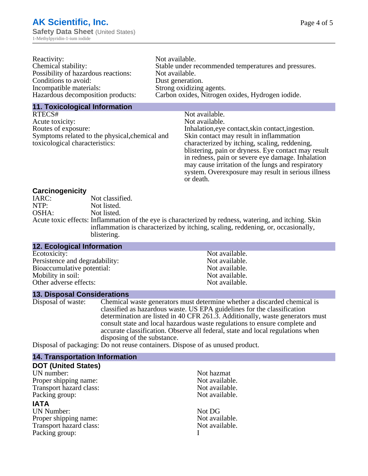| Reactivity:                         | Not available.                                       |
|-------------------------------------|------------------------------------------------------|
| Chemical stability:                 | Stable under recommended temperatures and pressures. |
| Possibility of hazardous reactions: | Not available.                                       |
| Conditions to avoid:                | Dust generation.                                     |
| Incompatible materials:             | Strong oxidizing agents.                             |
| Hazardous decomposition products:   | Carbon oxides, Nitrogen oxides, Hydrogen iodide.     |
|                                     |                                                      |

#### **11. Toxicological Information**

| RTECS#                                         | Not available.                                      |
|------------------------------------------------|-----------------------------------------------------|
| Acute toxicity:                                | Not available.                                      |
| Routes of exposure:                            | Inhalation, eye contact, skin contact, ingestion.   |
| Symptoms related to the physical, chemical and | Skin contact may result in inflammation             |
| toxicological characteristics:                 | characterized by itching, scaling, reddening,       |
|                                                | blistering, pain or dryness. Eye contact may result |
|                                                | in redness, pain or severe eye damage. Inhalation   |
|                                                | may cause irritation of the lungs and respiratory   |
|                                                | system. Overexposure may result in serious illness  |

or death.

#### **Carcinogenicity**

| IARC: | Not classified.                                                                                       |
|-------|-------------------------------------------------------------------------------------------------------|
| NTP:  | Not listed.                                                                                           |
| OSHA: | Not listed.                                                                                           |
|       | Acute toxic effects: Inflammation of the eye is characterized by redness, watering, and itching. Skin |
|       | inflammation is characterized by itching, scaling, reddening, or, occasionally,                       |
|       | blistering.                                                                                           |

| 12. Ecological Information     |                |
|--------------------------------|----------------|
| Ecotoxicity:                   | Not available. |
| Persistence and degradability: | Not available. |
| Bioaccumulative potential:     | Not available. |
| Mobility in soil:              | Not available. |
| Other adverse effects:         | Not available. |

#### **13. Disposal Considerations**

Disposal of waste: Chemical waste generators must determine whether a discarded chemical is classified as hazardous waste. US EPA guidelines for the classification determination are listed in 40 CFR 261.3. Additionally, waste generators must consult state and local hazardous waste regulations to ensure complete and accurate classification. Observe all federal, state and local regulations when disposing of the substance.

Disposal of packaging: Do not reuse containers. Dispose of as unused product.

| <b>14. Transportation Information</b> |                |
|---------------------------------------|----------------|
| <b>DOT (United States)</b>            |                |
| UN number:                            | Not hazmat     |
| Proper shipping name:                 | Not available. |
| Transport hazard class:               | Not available. |
| Packing group:                        | Not available. |
| <b>IATA</b>                           |                |
| <b>UN Number:</b>                     | Not DG         |
| Proper shipping name:                 | Not available. |
| Transport hazard class:               | Not available. |
| Packing group:                        |                |